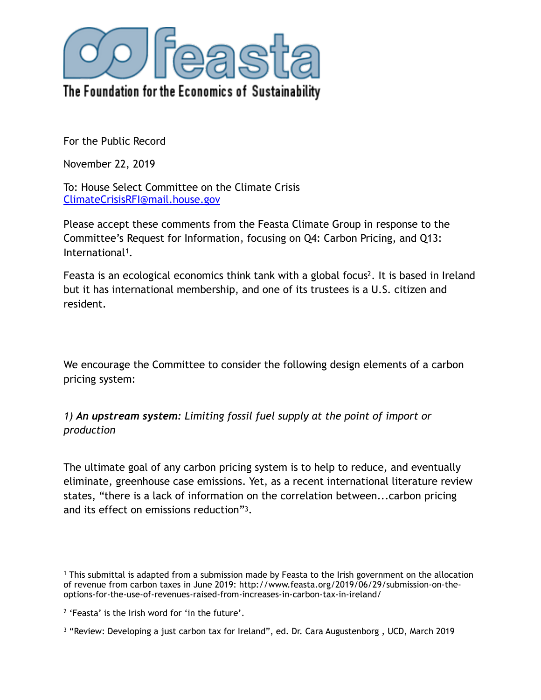

For the Public Record

November 22, 2019

To: House Select Committee on the Climate Crisis [ClimateCrisisRFI@mail.house.gov](mailto:ClimateCrisisRFI@mail.house.gov)

Please accept these comments from the Feasta Climate Group in response to the Committee's Request for Information, focusing on Q4: Carbon Pricing, and Q13: International<sup>1</sup>[.](#page-0-0)

<span id="page-0-4"></span><span id="page-0-3"></span>Feasta is an ecological economics think tank with a global focus<sup>2</sup>[.](#page-0-1) It is based in Ireland but it has international membership, and one of its trustees is a U.S. citizen and resident.

We encourage the Committee to consider the following design elements of a carbon pricing system:

*1) An upstream system: Limiting fossil fuel supply at the point of import or production* 

<span id="page-0-5"></span>The ultimate goal of any carbon pricing system is to help to reduce, and eventually eliminate, greenhouse case emissions. Yet, as a recent international literature review states, "there is a lack of information on the correlation between...carbon pricing and its effect on emissions reduction["3](#page-0-2).

<span id="page-0-0"></span><sup>&</sup>lt;sup>1</sup>This submittal is adapted from a submission made by Feasta to the Irish government on the allocation of revenue from carbon taxes in June 2019: http://www.feasta.org/2019/06/29/submission-on-theoptions-for-the-use-of-revenues-raised-from-increases-in-carbon-tax-in-ireland/

<span id="page-0-1"></span> $2$  'Feasta' is the Irish word for 'in the future'.

<span id="page-0-2"></span> $3$ "Review: Developing a just carbon tax for Ireland", ed. Dr. Cara Augustenborg, UCD, March 2019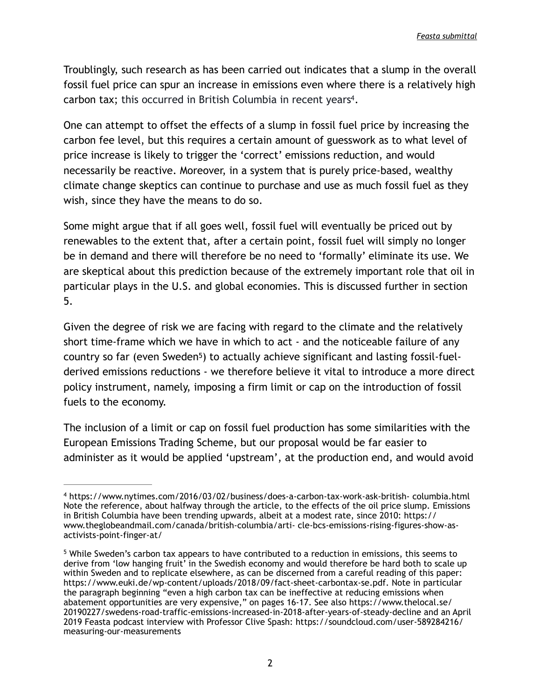Troublingly, such research as has been carried out indicates that a slump in the overall fossil fuel price can spur an increase in emissions even where there is a relatively high carbon tax; this occurred in British Columbia in recent years<sup>4</sup>[.](#page-1-0)

<span id="page-1-2"></span>One can attempt to offset the effects of a slump in fossil fuel price by increasing the carbon fee level, but this requires a certain amount of guesswork as to what level of price increase is likely to trigger the 'correct' emissions reduction, and would necessarily be reactive. Moreover, in a system that is purely price-based, wealthy climate change skeptics can continue to purchase and use as much fossil fuel as they wish, since they have the means to do so.

Some might argue that if all goes well, fossil fuel will eventually be priced out by renewables to the extent that, after a certain point, fossil fuel will simply no longer be in demand and there will therefore be no need to 'formally' eliminate its use. We are skeptical about this prediction because of the extremely important role that oil in particular plays in the U.S. and global economies. This is discussed further in section 5.

<span id="page-1-3"></span>Given the degree of risk we are facing with regard to the climate and the relatively short time-frame which we have in which to act - and the noticeable failure of any country so far (even Sweden<sup>[5](#page-1-1)</sup>) to actually achieve significant and lasting fossil-fuelderived emissions reductions - we therefore believe it vital to introduce a more direct policy instrument, namely, imposing a firm limit or cap on the introduction of fossil fuels to the economy.

The inclusion of a limit or cap on fossil fuel production has some similarities with the European Emissions Trading Scheme, but our proposal would be far easier to administer as it would be applied 'upstream', at the production end, and would avoid

<span id="page-1-0"></span>https://www.nytimes.com/2016/03/02/business/does-a-carbon-tax-work-ask-british- columbia.html [4](#page-1-2) Note the reference, about halfway through the article, to the effects of the oil price slump. Emissions in British Columbia have been trending upwards, albeit at a modest rate, since 2010: https:// www.theglobeandmail.com/canada/british-columbia/arti- cle-bcs-emissions-rising-figures-show-asactivists-point-finger-at/

<span id="page-1-1"></span><sup>&</sup>lt;sup>5</sup>While Sweden's carbon tax appears to have contributed to a reduction in emissions, this seems to derive from 'low hanging fruit' in the Swedish economy and would therefore be hard both to scale up within Sweden and to replicate elsewhere, as can be discerned from a careful reading of this paper: https://www.euki.de/wp-content/uploads/2018/09/fact-sheet-carbontax-se.pdf. Note in particular the paragraph beginning "even a high carbon tax can be ineffective at reducing emissions when abatement opportunities are very expensive," on pages 16-17. See also https://www.thelocal.se/ 20190227/swedens-road-traffic-emissions-increased-in-2018-after-years-of-steady-decline and an April 2019 Feasta podcast interview with Professor Clive Spash: https://soundcloud.com/user-589284216/ measuring-our-measurements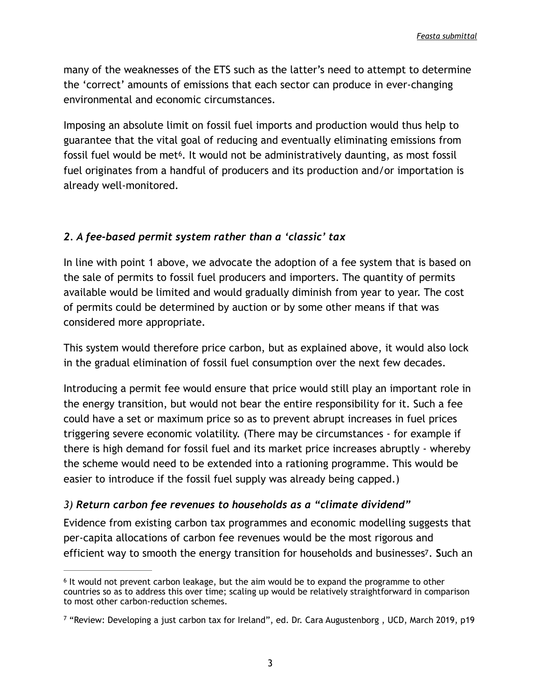many of the weaknesses of the ETS such as the latter's need to attempt to determine the 'correct' amounts of emissions that each sector can produce in ever-changing environmental and economic circumstances.

<span id="page-2-2"></span>Imposing an absolute limit on fossil fuel imports and production would thus help to guarantee that the vital goal of reducing and eventually eliminating emissions from fossil fuel would be met<sup>6</sup>[.](#page-2-0) It would not be administratively daunting, as most fossil fuel originates from a handful of producers and its production and/or importation is already well-monitored.

### *2. A fee-based permit system rather than a 'classic' tax*

In line with point 1 above, we advocate the adoption of a fee system that is based on the sale of permits to fossil fuel producers and importers. The quantity of permits available would be limited and would gradually diminish from year to year. The cost of permits could be determined by auction or by some other means if that was considered more appropriate.

This system would therefore price carbon, but as explained above, it would also lock in the gradual elimination of fossil fuel consumption over the next few decades.

Introducing a permit fee would ensure that price would still play an important role in the energy transition, but would not bear the entire responsibility for it. Such a fee could have a set or maximum price so as to prevent abrupt increases in fuel prices triggering severe economic volatility. (There may be circumstances - for example if there is high demand for fossil fuel and its market price increases abruptly - whereby the scheme would need to be extended into a rationing programme. This would be easier to introduce if the fossil fuel supply was already being capped.)

### *3) Return carbon fee revenues to households as a "climate dividend"*

<span id="page-2-3"></span>Evidence from existing carbon tax programmes and economic modelling suggests that per-capita allocations of carbon fee revenues would be the most rigorous and efficient way to smooth the energy transition for households and businesse[s7](#page-2-1). **S**uch an

<span id="page-2-0"></span> $6$ It would not prevent carbon leakage, but the aim would be to expand the programme to other countries so as to address this over time; scaling up would be relatively straightforward in comparison to most other carbon-reduction schemes.

<span id="page-2-1"></span> $\frac{7}{7}$  $\frac{7}{7}$  $\frac{7}{7}$ "Review: Developing a just carbon tax for Ireland", ed. Dr. Cara Augustenborg, UCD, March 2019, p19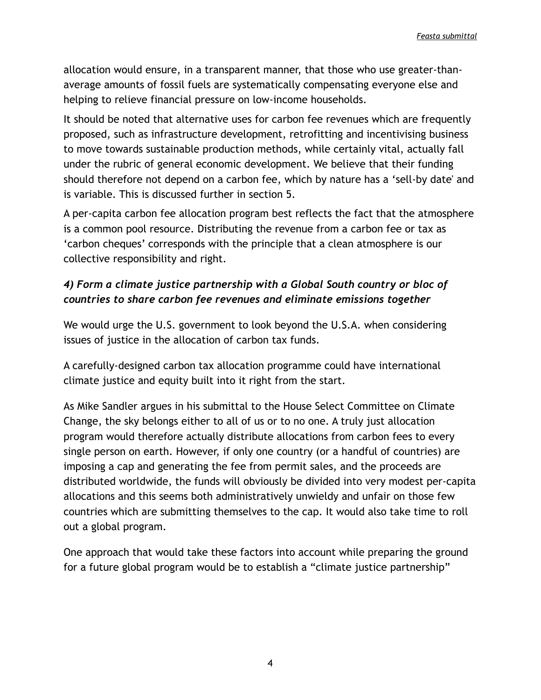allocation would ensure, in a transparent manner, that those who use greater-thanaverage amounts of fossil fuels are systematically compensating everyone else and helping to relieve financial pressure on low-income households.

It should be noted that alternative uses for carbon fee revenues which are frequently proposed, such as infrastructure development, retrofitting and incentivising business to move towards sustainable production methods, while certainly vital, actually fall under the rubric of general economic development. We believe that their funding should therefore not depend on a carbon fee, which by nature has a 'sell-by date' and is variable. This is discussed further in section 5.

A per-capita carbon fee allocation program best reflects the fact that the atmosphere is a common pool resource. Distributing the revenue from a carbon fee or tax as 'carbon cheques' corresponds with the principle that a clean atmosphere is our collective responsibility and right.

# *4) Form a climate justice partnership with a Global South country or bloc of countries to share carbon fee revenues and eliminate emissions together*

We would urge the U.S. government to look beyond the U.S.A. when considering issues of justice in the allocation of carbon tax funds.

A carefully-designed carbon tax allocation programme could have international climate justice and equity built into it right from the start.

As Mike Sandler argues in his submittal to the House Select Committee on Climate Change, the sky belongs either to all of us or to no one. A truly just allocation program would therefore actually distribute allocations from carbon fees to every single person on earth. However, if only one country (or a handful of countries) are imposing a cap and generating the fee from permit sales, and the proceeds are distributed worldwide, the funds will obviously be divided into very modest per-capita allocations and this seems both administratively unwieldy and unfair on those few countries which are submitting themselves to the cap. It would also take time to roll out a global program.

One approach that would take these factors into account while preparing the ground for a future global program would be to establish a "climate justice partnership"

4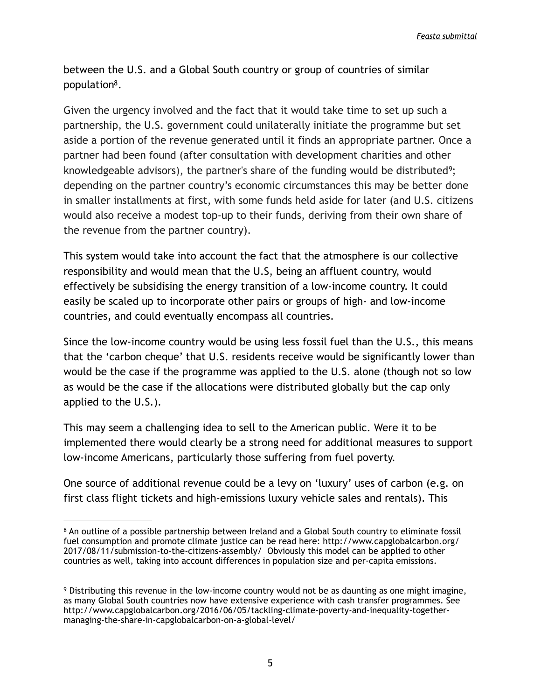<span id="page-4-3"></span>*Feasta submittal*

<span id="page-4-2"></span>between the U.S. and a Global South country or group of countries of similar population $8$ [.](#page-4-0)

Given the urgency involved and the fact that it would take time to set up such a partnership, the U.S. government could unilaterally initiate the programme but set aside a portion of the revenue generated until it finds an appropriate partner. Once a partner had been found (after consultation with development charities and other knowledgeable advisors), the partner's share of the funding would be distributed<sup>9</sup>[;](#page-4-1) depending on the partner country's economic circumstances this may be better done in smaller installments at first, with some funds held aside for later (and U.S. citizens would also receive a modest top-up to their funds, deriving from their own share of the revenue from the partner country).

This system would take into account the fact that the atmosphere is our collective responsibility and would mean that the U.S, being an affluent country, would effectively be subsidising the energy transition of a low-income country. It could easily be scaled up to incorporate other pairs or groups of high- and low-income countries, and could eventually encompass all countries.

Since the low-income country would be using less fossil fuel than the U.S., this means that the 'carbon cheque' that U.S. residents receive would be significantly lower than would be the case if the programme was applied to the U.S. alone (though not so low as would be the case if the allocations were distributed globally but the cap only applied to the U.S.).

This may seem a challenging idea to sell to the American public. Were it to be implemented there would clearly be a strong need for additional measures to support low-income Americans, particularly those suffering from fuel poverty.

One source of additional revenue could be a levy on 'luxury' uses of carbon (e.g. on first class flight tickets and high-emissions luxury vehicle sales and rentals). This

<span id="page-4-0"></span><sup>&</sup>lt;sup>8</sup>An outline of a possible partnership between Ireland and a Global South country to eliminate fossil fuel consumption and promote climate justice can be read here: http://www.capglobalcarbon.org/ 2017/08/11/submission-to-the-citizens-assembly/ Obviously this model can be applied to other countries as well, taking into account differences in population size and per-capita emissions.

<span id="page-4-1"></span><sup>&</sup>lt;sup>9</sup>Distributing this revenue in the low-income country would not be as daunting as one might imagine, as many Global South countries now have extensive experience with cash transfer programmes. See http://www.capglobalcarbon.org/2016/06/05/tackling-climate-poverty-and-inequality-togethermanaging-the-share-in-capglobalcarbon-on-a-global-level/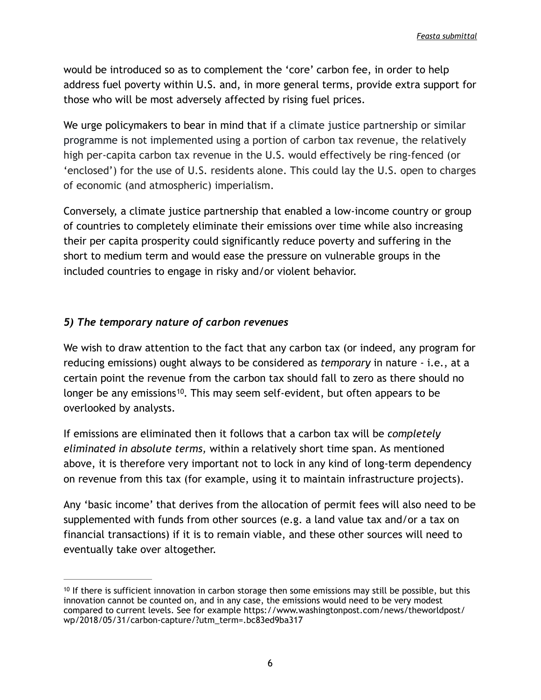would be introduced so as to complement the 'core' carbon fee, in order to help address fuel poverty within U.S. and, in more general terms, provide extra support for those who will be most adversely affected by rising fuel prices.

We urge policymakers to bear in mind that if a climate justice partnership or similar programme is not implemented using a portion of carbon tax revenue, the relatively high per-capita carbon tax revenue in the U.S. would effectively be ring-fenced (or 'enclosed') for the use of U.S. residents alone. This could lay the U.S. open to charges of economic (and atmospheric) imperialism.

Conversely, a climate justice partnership that enabled a low-income country or group of countries to completely eliminate their emissions over time while also increasing their per capita prosperity could significantly reduce poverty and suffering in the short to medium term and would ease the pressure on vulnerable groups in the included countries to engage in risky and/or violent behavior.

## *5) The temporary nature of carbon revenues*

We wish to draw attention to the fact that any carbon tax (or indeed, any program for reducing emissions) ought always to be considered as *temporary* in nature - i.e., at a certain point the revenue from the carbon tax should fall to zero as there should no longer be any emissions<sup>10</sup>[.](#page-5-0) This may seem self-evident, but often appears to be overlooked by analysts.

<span id="page-5-1"></span>If emissions are eliminated then it follows that a carbon tax will be *completely eliminated in absolute terms,* within a relatively short time span. As mentioned above, it is therefore very important not to lock in any kind of long-term dependency on revenue from this tax (for example, using it to maintain infrastructure projects).

Any 'basic income' that derives from the allocation of permit fees will also need to be supplemented with funds from other sources (e.g. a land value tax and/or a tax on financial transactions) if it is to remain viable, and these other sources will need to eventually take over altogether.

<span id="page-5-0"></span> $10$ If there is sufficient innovation in carbon storage then some emissions may still be possible, but this innovation cannot be counted on, and in any case, the emissions would need to be very modest compared to current levels. See for example https://www.washingtonpost.com/news/theworldpost/ wp/2018/05/31/carbon-capture/?utm\_term=.bc83ed9ba317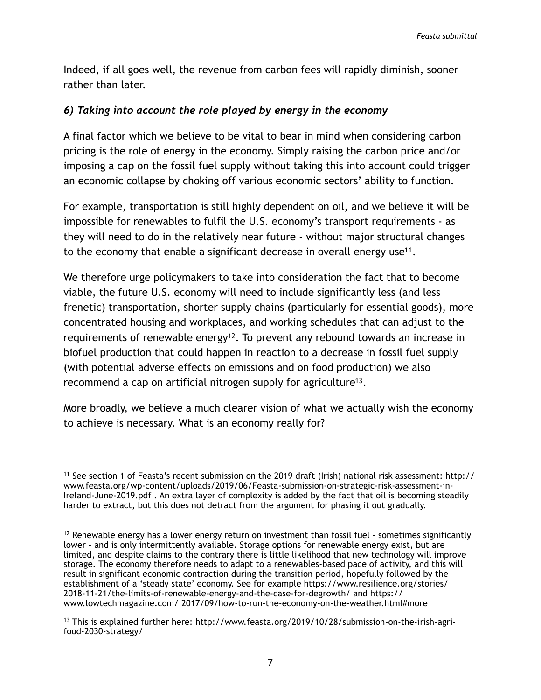Indeed, if all goes well, the revenue from carbon fees will rapidly diminish, sooner rather than later.

### *6) Taking into account the role played by energy in the economy*

A final factor which we believe to be vital to bear in mind when considering carbon pricing is the role of energy in the economy. Simply raising the carbon price and/or imposing a cap on the fossil fuel supply without taking this into account could trigger an economic collapse by choking off various economic sectors' ability to function.

For example, transportation is still highly dependent on oil, and we believe it will be impossible for renewables to fulfil the U.S. economy's transport requirements - as they will need to do in the relatively near future - without major structural changes to the economy that enable a significant decrease in overall energy use<sup>11</sup>[.](#page-6-0)

<span id="page-6-4"></span><span id="page-6-3"></span>We therefore urge policymakers to take into consideration the fact that to become viable, the future U.S. economy will need to include significantly less (and less frenetic) transportation, shorter supply chains (particularly for essential goods), more concentrated housing and workplaces, and working schedules that can adjust to the requirements of renewable energy<sup>[12](#page-6-1)</sup>. To prevent any rebound towards an increase in biofuel production that could happen in reaction to a decrease in fossil fuel supply (with potential adverse effects on emissions and on food production) we also recommend a cap on artificial nitrogen supply for agriculture<sup>13</sup>[.](#page-6-2)

<span id="page-6-5"></span>More broadly, we believe a much clearer vision of what we actually wish the economy to achieve is necessary. What is an economy really for?

<span id="page-6-0"></span><sup>&</sup>lt;sup>[11](#page-6-3)</sup> See section 1 of Feasta's recent submission on the 2019 draft (Irish) national risk assessment: http:// www.feasta.org/wp-content/uploads/2019/06/Feasta-submission-on-strategic-risk-assessment-in-Ireland-June-2019.pdf . An extra layer of complexity is added by the fact that oil is becoming steadily harder to extract, but this does not detract from the argument for phasing it out gradually.

<span id="page-6-1"></span> $12$ Renewable energy has a lower energy return on investment than fossil fuel - sometimes significantly lower - and is only intermittently available. Storage options for renewable energy exist, but are limited, and despite claims to the contrary there is little likelihood that new technology will improve storage. The economy therefore needs to adapt to a renewables-based pace of activity, and this will result in significant economic contraction during the transition period, hopefully followed by the establishment of a 'steady state' economy. See for example https://www.resilience.org/stories/ 2018-11-21/the-limits-of-renewable-energy-and-the-case-for-degrowth/ and https:// www.lowtechmagazine.com/ 2017/09/how-to-run-the-economy-on-the-weather.html#more

<span id="page-6-2"></span>[<sup>13</sup>](#page-6-5) This is explained further here: http://www.feasta.org/2019/10/28/submission-on-the-irish-agrifood-2030-strategy/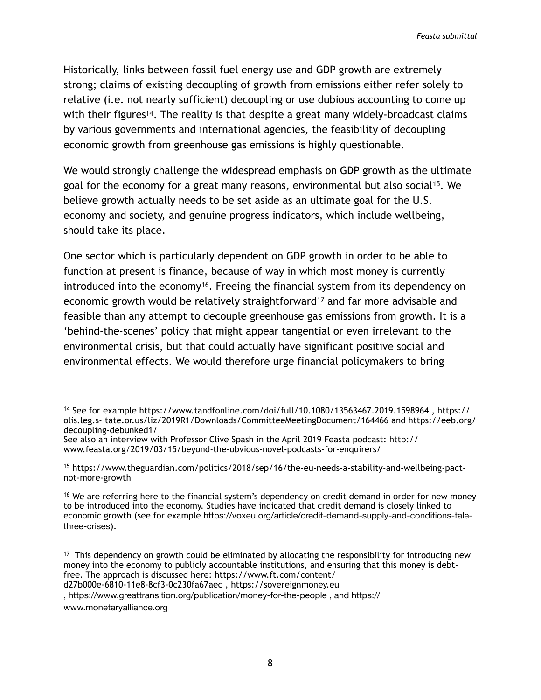<span id="page-7-4"></span>Historically, links between fossil fuel energy use and GDP growth are extremely strong; claims of existing decoupling of growth from emissions either refer solely to relative (i.e. not nearly sufficient) decoupling or use dubious accounting to come up with their figures<sup>14</sup>[.](#page-7-0) The reality is that despite a great many widely-broadcast claims by various governments and international agencies, the feasibility of decoupling economic growth from greenhouse gas emissions is highly questionable.

<span id="page-7-5"></span>We would strongly challenge the widespread emphasis on GDP growth as the ultimate goal for the economy for a great many reasons, environmental but also social<sup>[15](#page-7-1)</sup>. We believe growth actually needs to be set aside as an ultimate goal for the U.S. economy and society, and genuine progress indicators, which include wellbeing, should take its place.

<span id="page-7-7"></span><span id="page-7-6"></span>One sector which is particularly dependent on GDP growth in order to be able to function at present is finance, because of way in which most money is currently introduced into the economy<sup>[16](#page-7-2)</sup>. Freeing the financial system from its dependency on economic growth would be relatively straightforward<sup>[17](#page-7-3)</sup> and far more advisable and feasible than any attempt to decouple greenhouse gas emissions from growth. It is a 'behind-the-scenes' policy that might appear tangential or even irrelevant to the environmental crisis, but that could actually have significant positive social and environmental effects. We would therefore urge financial policymakers to bring

, https://www.greattransition.org/publication/money-for-the-people , and [https://](https://www.monetaryalliance.org)

[www.monetaryalliance.org](https://www.monetaryalliance.org)

<span id="page-7-0"></span><sup>&</sup>lt;sup>[14](#page-7-4)</sup> See for example https://www.tandfonline.com/doi/full/10.1080/13563467.2019.1598964, https:// olis.leg.s- [tate.or.us/liz/2019R1/Downloads/CommitteeMeetingDocument/164466](http://tate.or.us/liz/2019R1/Downloads/CommitteeMeetingDocument/164466) and https://eeb.org/ decoupling-debunked1/

See also an interview with Professor Clive Spash in the April 2019 Feasta podcast: http:// www.feasta.org/2019/03/15/beyond-the-obvious-novel-podcasts-for-enquirers/

<span id="page-7-1"></span><sup>&</sup>lt;sup>[15](#page-7-5)</sup> https://www.theguardian.com/politics/2018/sep/16/the-eu-needs-a-stability-and-wellbeing-pactnot-more-growth

<span id="page-7-2"></span><sup>&</sup>lt;sup>16</sup>We are referring here to the financial system's dependency on credit demand in order for new money to be introduced into the economy. Studies have indicated that credit demand is closely linked to economic growth (see for example https://voxeu.org/article/credit-demand-supply-and-conditions-talethree-crises).

<span id="page-7-3"></span> $17$ This dependency on growth could be eliminated by allocating the responsibility for introducing new money into the economy to publicly accountable institutions, and ensuring that this money is debtfree. The approach is discussed here: https://www.ft.com/content/

d27b000e-6810-11e8-8cf3-0c230fa67aec , https://sovereignmoney.eu